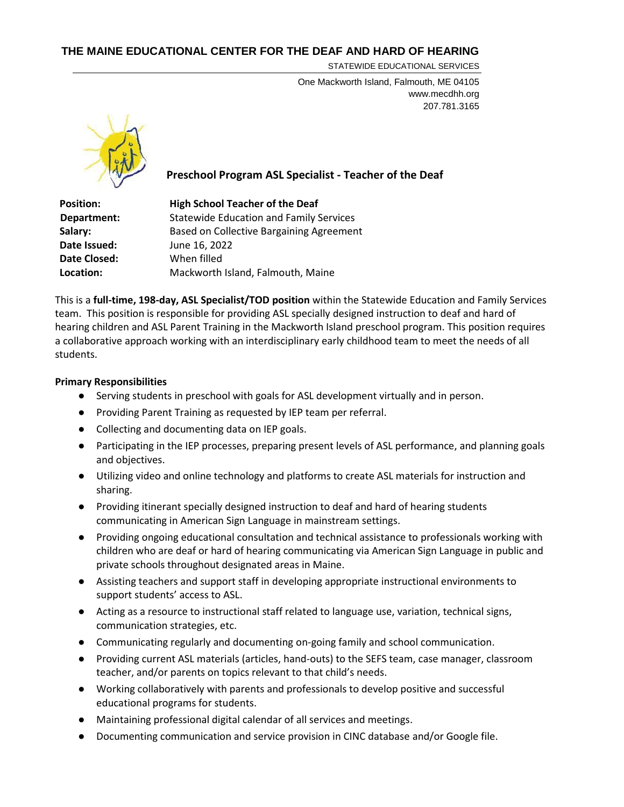## **THE MAINE EDUCATIONAL CENTER FOR THE DEAF AND HARD OF HEARING**

STATEWIDE EDUCATIONAL SERVICES

One Mackworth Island, Falmouth, ME 04105 www.mecdhh.org 207.781.3165



# **Preschool Program ASL Specialist - Teacher of the Deaf**

| <b>High School Teacher of the Deaf</b>          |
|-------------------------------------------------|
| <b>Statewide Education and Family Services</b>  |
| <b>Based on Collective Bargaining Agreement</b> |
| June 16, 2022                                   |
| When filled                                     |
| Mackworth Island, Falmouth, Maine               |
|                                                 |

This is a **full-time, 198-day, ASL Specialist/TOD position** within the Statewide Education and Family Services team. This position is responsible for providing ASL specially designed instruction to deaf and hard of hearing children and ASL Parent Training in the Mackworth Island preschool program. This position requires a collaborative approach working with an interdisciplinary early childhood team to meet the needs of all students.

## **Primary Responsibilities**

- Serving students in preschool with goals for ASL development virtually and in person.
- Providing Parent Training as requested by IEP team per referral.
- Collecting and documenting data on IEP goals.
- Participating in the IEP processes, preparing present levels of ASL performance, and planning goals and objectives.
- Utilizing video and online technology and platforms to create ASL materials for instruction and sharing.
- Providing itinerant specially designed instruction to deaf and hard of hearing students communicating in American Sign Language in mainstream settings.
- Providing ongoing educational consultation and technical assistance to professionals working with children who are deaf or hard of hearing communicating via American Sign Language in public and private schools throughout designated areas in Maine.
- Assisting teachers and support staff in developing appropriate instructional environments to support students' access to ASL.
- Acting as a resource to instructional staff related to language use, variation, technical signs, communication strategies, etc.
- Communicating regularly and documenting on-going family and school communication.
- Providing current ASL materials (articles, hand-outs) to the SEFS team, case manager, classroom teacher, and/or parents on topics relevant to that child's needs.
- Working collaboratively with parents and professionals to develop positive and successful educational programs for students.
- Maintaining professional digital calendar of all services and meetings.
- Documenting communication and service provision in CINC database and/or Google file.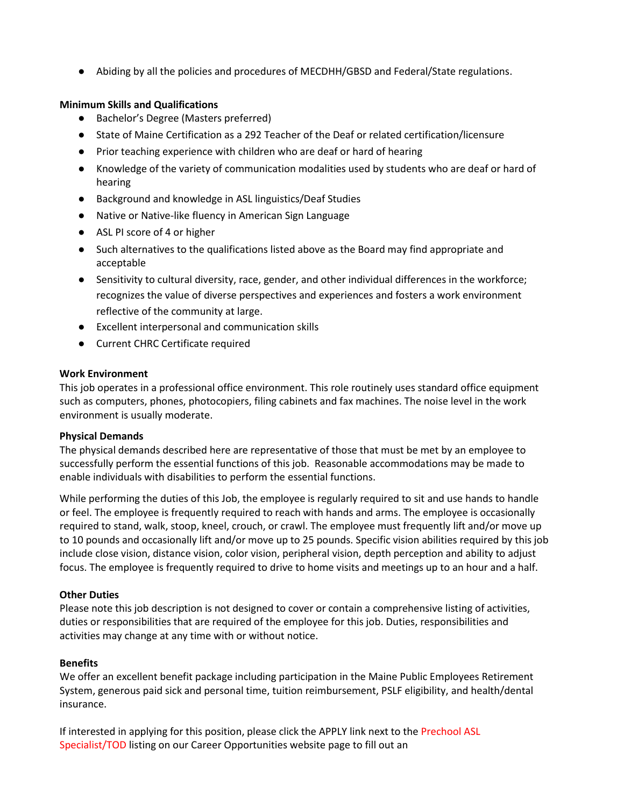● Abiding by all the policies and procedures of MECDHH/GBSD and Federal/State regulations.

## **Minimum Skills and Qualifications**

- Bachelor's Degree (Masters preferred)
- State of Maine Certification as a 292 Teacher of the Deaf or related certification/licensure
- Prior teaching experience with children who are deaf or hard of hearing
- Knowledge of the variety of communication modalities used by students who are deaf or hard of hearing
- Background and knowledge in ASL linguistics/Deaf Studies
- Native or Native-like fluency in American Sign Language
- ASL PI score of 4 or higher
- Such alternatives to the qualifications listed above as the Board may find appropriate and acceptable
- Sensitivity to cultural diversity, race, gender, and other individual differences in the workforce; recognizes the value of diverse perspectives and experiences and fosters a work environment reflective of the community at large.
- Excellent interpersonal and communication skills
- Current CHRC Certificate required

#### **Work Environment**

This job operates in a professional office environment. This role routinely uses standard office equipment such as computers, phones, photocopiers, filing cabinets and fax machines. The noise level in the work environment is usually moderate.

## **Physical Demands**

The physical demands described here are representative of those that must be met by an employee to successfully perform the essential functions of this job. Reasonable accommodations may be made to enable individuals with disabilities to perform the essential functions.

While performing the duties of this Job, the employee is regularly required to sit and use hands to handle or feel. The employee is frequently required to reach with hands and arms. The employee is occasionally required to stand, walk, stoop, kneel, crouch, or crawl. The employee must frequently lift and/or move up to 10 pounds and occasionally lift and/or move up to 25 pounds. Specific vision abilities required by this job include close vision, distance vision, color vision, peripheral vision, depth perception and ability to adjust focus. The employee is frequently required to drive to home visits and meetings up to an hour and a half.

## **Other Duties**

Please note this job description is not designed to cover or contain a comprehensive listing of activities, duties or responsibilities that are required of the employee for this job. Duties, responsibilities and activities may change at any time with or without notice.

## **Benefits**

We offer an excellent benefit package including participation in the Maine Public Employees Retirement System, generous paid sick and personal time, tuition reimbursement, PSLF eligibility, and health/dental insurance.

If interested in applying for this position, please click the APPLY link next to the Prechool ASL Specialist/TOD listing on our Career Opportunities website page to fill out an